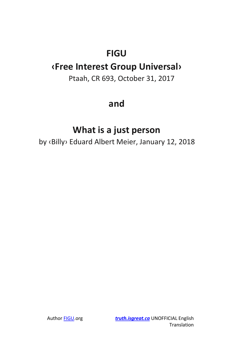# **FIGU**

## **‹Free Interest Group Universal›**

Ptaah, CR 693, October 31, 2017

### **and**

## **What is a just person**

by ‹Billy› Eduard Albert Meier, January 12, 2018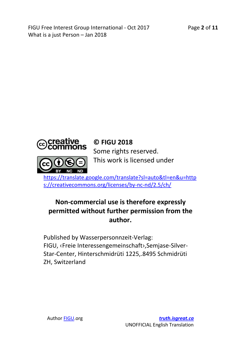Page **2** of **11**



#### **© FIGU 2018**

Some rights reserved. This work is licensed under

[https://translate.google.com/translate?sl=auto&tl=en&u=http](https://translate.google.com/translate?sl=auto&tl=en&u=https://creativecommons.org/licenses/by-nc-nd/2.5/ch/) [s://creativecommons.org/licenses/by-nc-nd/2.5/ch/](https://translate.google.com/translate?sl=auto&tl=en&u=https://creativecommons.org/licenses/by-nc-nd/2.5/ch/)

### **Non-commercial use is therefore expressly permitted without further permission from the author.**

Published by Wasserpersonnzeit-Verlag: FIGU, ‹Freie Interessengemeinschaft›,Semjase-Silver-Star-Center, Hinterschmidrüti 1225,.8495 Schmidrüti ZH, Switzerland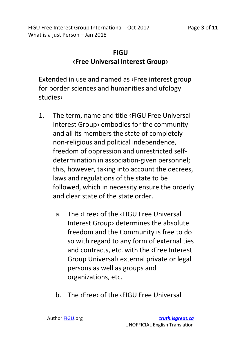### **FIGU ‹Free Universal Interest Group›**

Extended in use and named as ‹Free interest group for border sciences and humanities and ufology studies›

- 1. The term, name and title ‹FIGU Free Universal Interest Group› embodies for the community and all its members the state of completely non-religious and political independence, freedom of oppression and unrestricted selfdetermination in association-given personnel; this, however, taking into account the decrees, laws and regulations of the state to be followed, which in necessity ensure the orderly and clear state of the state order.
	- a. The ‹Free› of the ‹FIGU Free Universal Interest Group› determines the absolute freedom and the Community is free to do so with regard to any form of external ties and contracts, etc. with the ‹Free Interest Group Universal› external private or legal persons as well as groups and organizations, etc.
	- b. The ‹Free› of the ‹FIGU Free Universal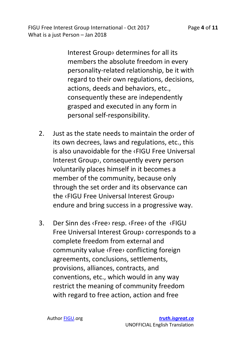> Interest Group› determines for all its members the absolute freedom in every personality-related relationship, be it with regard to their own regulations, decisions, actions, deeds and behaviors, etc., consequently these are independently grasped and executed in any form in personal self-responsibility.

- 2. Just as the state needs to maintain the order of its own decrees, laws and regulations, etc., this is also unavoidable for the ‹FIGU Free Universal Interest Group›, consequently every person voluntarily places himself in it becomes a member of the community, because only through the set order and its observance can the ‹FIGU Free Universal Interest Group› endure and bring success in a progressive way.
- 3. Der Sinn des ‹Free› resp. ‹Free› of the ‹FIGU Free Universal Interest Group› corresponds to a complete freedom from external and community value ‹Free› conflicting foreign agreements, conclusions, settlements, provisions, alliances, contracts, and conventions, etc., which would in any way restrict the meaning of community freedom with regard to free action, action and free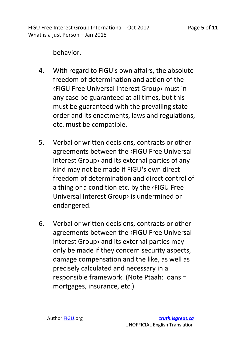behavior.

- 4. With regard to FIGU's own affairs, the absolute freedom of determination and action of the ‹FIGU Free Universal Interest Group› must in any case be guaranteed at all times, but this must be guaranteed with the prevailing state order and its enactments, laws and regulations, etc. must be compatible.
- 5. Verbal or written decisions, contracts or other agreements between the ‹FIGU Free Universal Interest Group› and its external parties of any kind may not be made if FIGU's own direct freedom of determination and direct control of a thing or a condition etc. by the ‹FIGU Free Universal Interest Group› is undermined or endangered.
- 6. Verbal or written decisions, contracts or other agreements between the ‹FIGU Free Universal Interest Group› and its external parties may only be made if they concern security aspects, damage compensation and the like, as well as precisely calculated and necessary in a responsible framework. (Note Ptaah: loans = mortgages, insurance, etc.)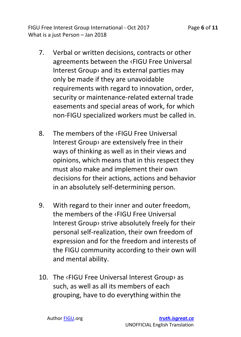- 7. Verbal or written decisions, contracts or other agreements between the ‹FIGU Free Universal Interest Group› and its external parties may only be made if they are unavoidable requirements with regard to innovation, order, security or maintenance-related external trade easements and special areas of work, for which non-FIGU specialized workers must be called in.
- 8. The members of the ‹FIGU Free Universal Interest Group› are extensively free in their ways of thinking as well as in their views and opinions, which means that in this respect they must also make and implement their own decisions for their actions, actions and behavior in an absolutely self-determining person.
- 9. With regard to their inner and outer freedom, the members of the ‹FIGU Free Universal Interest Group› strive absolutely freely for their personal self-realization, their own freedom of expression and for the freedom and interests of the FIGU community according to their own will and mental ability.
- 10. The ‹FIGU Free Universal Interest Group› as such, as well as all its members of each grouping, have to do everything within the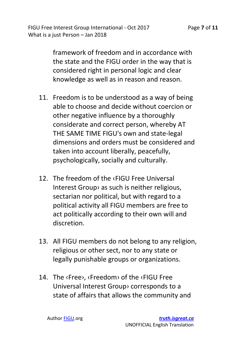> framework of freedom and in accordance with the state and the FIGU order in the way that is considered right in personal logic and clear knowledge as well as in reason and reason.

- 11. Freedom is to be understood as a way of being able to choose and decide without coercion or other negative influence by a thoroughly considerate and correct person, whereby AT THE SAME TIME FIGU's own and state-legal dimensions and orders must be considered and taken into account liberally, peacefully, psychologically, socially and culturally.
- 12. The freedom of the ‹FIGU Free Universal Interest Group› as such is neither religious, sectarian nor political, but with regard to a political activity all FIGU members are free to act politically according to their own will and discretion.
- 13. All FIGU members do not belong to any religion, religious or other sect, nor to any state or legally punishable groups or organizations.
- 14. The ‹Free›, ‹Freedom› of the ‹FIGU Free Universal Interest Group› corresponds to a state of affairs that allows the community and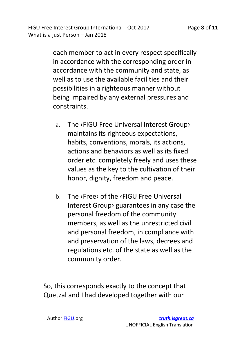> each member to act in every respect specifically in accordance with the corresponding order in accordance with the community and state, as well as to use the available facilities and their possibilities in a righteous manner without being impaired by any external pressures and constraints.

- a. The ‹FIGU Free Universal Interest Group› maintains its righteous expectations, habits, conventions, morals, its actions, actions and behaviors as well as its fixed order etc. completely freely and uses these values as the key to the cultivation of their honor, dignity, freedom and peace.
- b. The ‹Free› of the ‹FIGU Free Universal Interest Group› guarantees in any case the personal freedom of the community members, as well as the unrestricted civil and personal freedom, in compliance with and preservation of the laws, decrees and regulations etc. of the state as well as the community order.

So, this corresponds exactly to the concept that Quetzal and I had developed together with our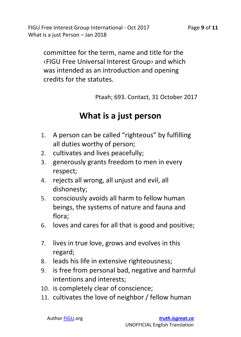committee for the term, name and title for the ‹FIGU Free Universal Interest Group› and which was intended as an introduction and opening credits for the statutes.

Ptaah; 693. Contact, 31 October 2017

### **What is a just person**

- 1. A person can be called "righteous" by fulfilling all duties worthy of person;
- 2. cultivates and lives peacefully;
- 3. generously grants freedom to men in every respect;
- 4. rejects all wrong, all unjust and evil, all dishonesty;
- 5. consciously avoids all harm to fellow human beings, the systems of nature and fauna and flora;
- 6. loves and cares for all that is good and positive;
- 7. lives in true love, grows and evolves in this regard;
- 8. leads his life in extensive righteousness;
- 9. is free from personal bad, negative and harmful intentions and interests;
- 10. is completely clear of conscience;
- 11. cultivates the love of neighbor / fellow human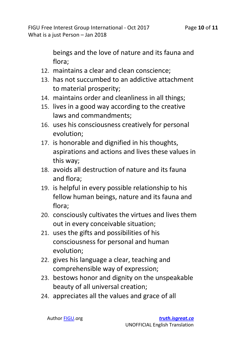> beings and the love of nature and its fauna and flora;

- 12. maintains a clear and clean conscience;
- 13. has not succumbed to an addictive attachment to material prosperity;
- 14. maintains order and cleanliness in all things;
- 15. lives in a good way according to the creative laws and commandments;
- 16. uses his consciousness creatively for personal evolution;
- 17. is honorable and dignified in his thoughts, aspirations and actions and lives these values in this way;
- 18. avoids all destruction of nature and its fauna and flora;
- 19. is helpful in every possible relationship to his fellow human beings, nature and its fauna and flora;
- 20. consciously cultivates the virtues and lives them out in every conceivable situation;
- 21. uses the gifts and possibilities of his consciousness for personal and human evolution;
- 22. gives his language a clear, teaching and comprehensible way of expression;
- 23. bestows honor and dignity on the unspeakable beauty of all universal creation;
- 24. appreciates all the values and grace of all